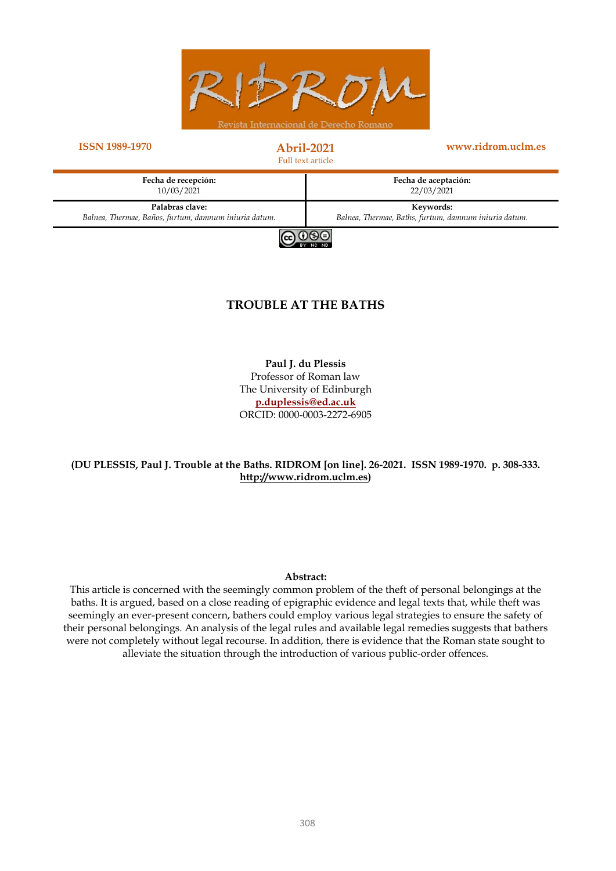

#### **ISSN 1989-1970 Abril-2021**

Full text article

**www.ridrom.uclm.es**





#### **TROUBLE AT THE BATHS**

**Paul J. du Plessis** Professor of Roman law The University of Edinburgh **[p.duplessis@ed.ac.uk](mailto:p.duplessis@ed.ac.uk)** ORCID: 0000-0003-2272-6905

#### **(DU PLESSIS, Paul J. Trouble at the Baths. RIDROM [on line]. 26-2021. ISSN 1989-1970. p. 308-333. [http://www.ridrom.uclm.es\)](http://www.ridrom.uclm.es/)**

#### **Abstract:**

This article is concerned with the seemingly common problem of the theft of personal belongings at the baths. It is argued, based on a close reading of epigraphic evidence and legal texts that, while theft was seemingly an ever-present concern, bathers could employ various legal strategies to ensure the safety of their personal belongings. An analysis of the legal rules and available legal remedies suggests that bathers were not completely without legal recourse. In addition, there is evidence that the Roman state sought to alleviate the situation through the introduction of various public-order offences.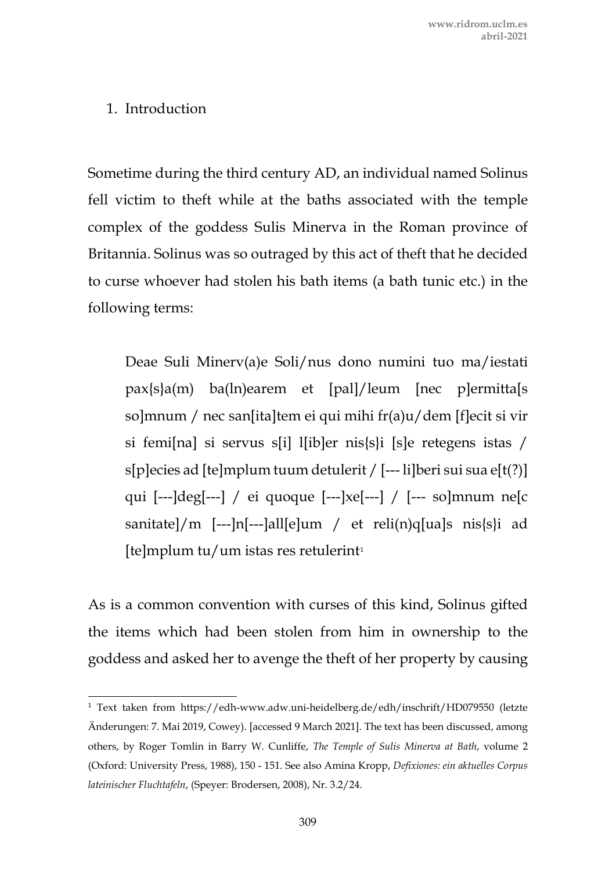## 1. Introduction

Sometime during the third century AD, an individual named Solinus fell victim to theft while at the baths associated with the temple complex of the goddess Sulis Minerva in the Roman province of Britannia. Solinus was so outraged by this act of theft that he decided to curse whoever had stolen his bath items (a bath tunic etc.) in the following terms:

Deae Suli Minerv(a)e Soli/nus dono numini tuo ma/iestati pax{s}a(m) ba(ln)earem et [pal]/leum [nec p]ermitta[s so]mnum / nec san[ita]tem ei qui mihi fr(a)u/dem [f]ecit si vir si femi[na] si servus s[i] l[ib]er nis{s}i [s]e retegens istas / s[p]ecies ad [te]mplum tuum detulerit / [--- li]beri sui sua e[t(?)] qui [---]deg[---] / ei quoque [---]xe[---] / [--- so]mnum ne[c sanitate]/m [---]n[---]all[e]um / et reli(n)q[ua]s nis{s}i ad  $[te]$ mplum tu/um istas res retulerint<sup>[1](#page-1-0)</sup>

As is a common convention with curses of this kind, Solinus gifted the items which had been stolen from him in ownership to the goddess and asked her to avenge the theft of her property by causing

<span id="page-1-0"></span><sup>1</sup> Text taken from https://edh-www.adw.uni-heidelberg.de/edh/inschrift/HD079550 (letzte Änderungen: 7. Mai 2019, Cowey). [accessed 9 March 2021]. The text has been discussed, among others, by Roger Tomlin in Barry W. Cunliffe, *The Temple of Sulis Minerva at Bath*, volume 2 (Oxford: University Press, 1988), 150 - 151. See also Amina Kropp, *Defixiones: ein aktuelles Corpus lateinischer Fluchtafeln*, (Speyer: Brodersen, 2008), Nr. 3.2/24.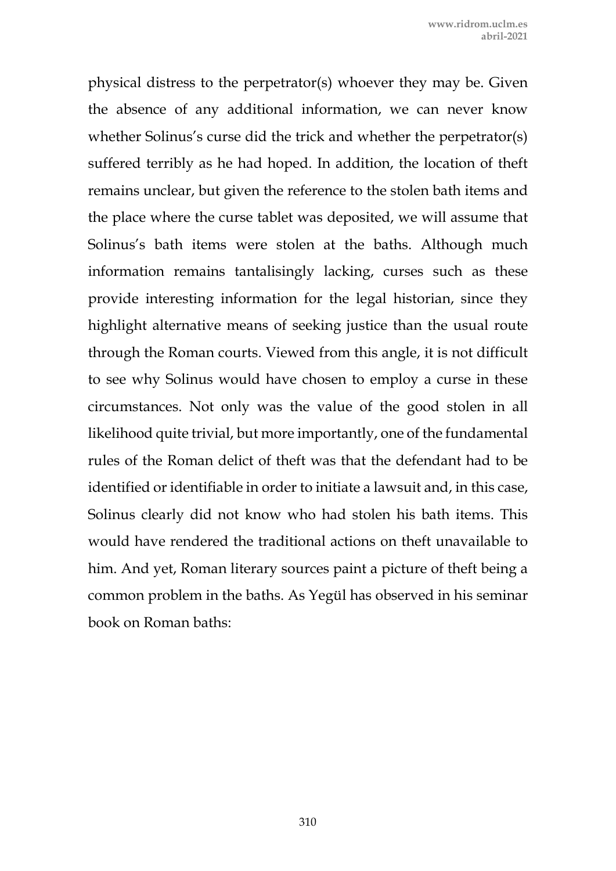physical distress to the perpetrator(s) whoever they may be. Given the absence of any additional information, we can never know whether Solinus's curse did the trick and whether the perpetrator(s) suffered terribly as he had hoped. In addition, the location of theft remains unclear, but given the reference to the stolen bath items and the place where the curse tablet was deposited, we will assume that Solinus's bath items were stolen at the baths. Although much information remains tantalisingly lacking, curses such as these provide interesting information for the legal historian, since they highlight alternative means of seeking justice than the usual route through the Roman courts. Viewed from this angle, it is not difficult to see why Solinus would have chosen to employ a curse in these circumstances. Not only was the value of the good stolen in all likelihood quite trivial, but more importantly, one of the fundamental rules of the Roman delict of theft was that the defendant had to be identified or identifiable in order to initiate a lawsuit and, in this case, Solinus clearly did not know who had stolen his bath items. This would have rendered the traditional actions on theft unavailable to him. And yet, Roman literary sources paint a picture of theft being a common problem in the baths. As Yegül has observed in his seminar book on Roman baths: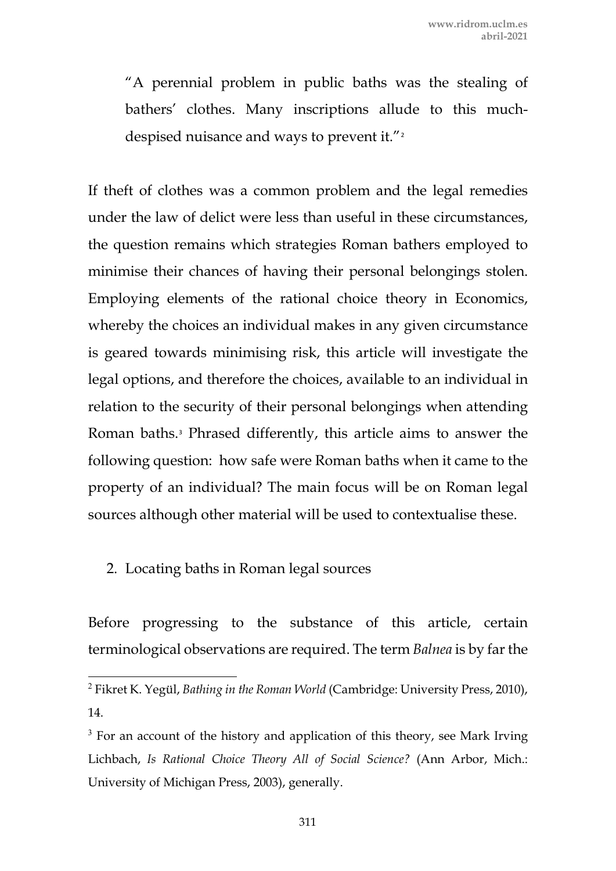"A perennial problem in public baths was the stealing of bathers' clothes. Many inscriptions allude to this much-despised nuisance and ways to prevent it."<sup>[2](#page-3-0)</sup>

If theft of clothes was a common problem and the legal remedies under the law of delict were less than useful in these circumstances, the question remains which strategies Roman bathers employed to minimise their chances of having their personal belongings stolen. Employing elements of the rational choice theory in Economics, whereby the choices an individual makes in any given circumstance is geared towards minimising risk, this article will investigate the legal options, and therefore the choices, available to an individual in relation to the security of their personal belongings when attending Roman baths.[3](#page-3-1) Phrased differently, this article aims to answer the following question: how safe were Roman baths when it came to the property of an individual? The main focus will be on Roman legal sources although other material will be used to contextualise these.

# 2. Locating baths in Roman legal sources

Before progressing to the substance of this article, certain terminological observations are required. The term *Balnea* is by far the

<span id="page-3-0"></span><sup>2</sup> Fikret K. Yegül, *Bathing in the Roman World* (Cambridge: University Press, 2010), 14.

<span id="page-3-1"></span> $3$  For an account of the history and application of this theory, see Mark Irving Lichbach, *Is Rational Choice Theory All of Social Science?* (Ann Arbor, Mich.: University of Michigan Press, 2003), generally.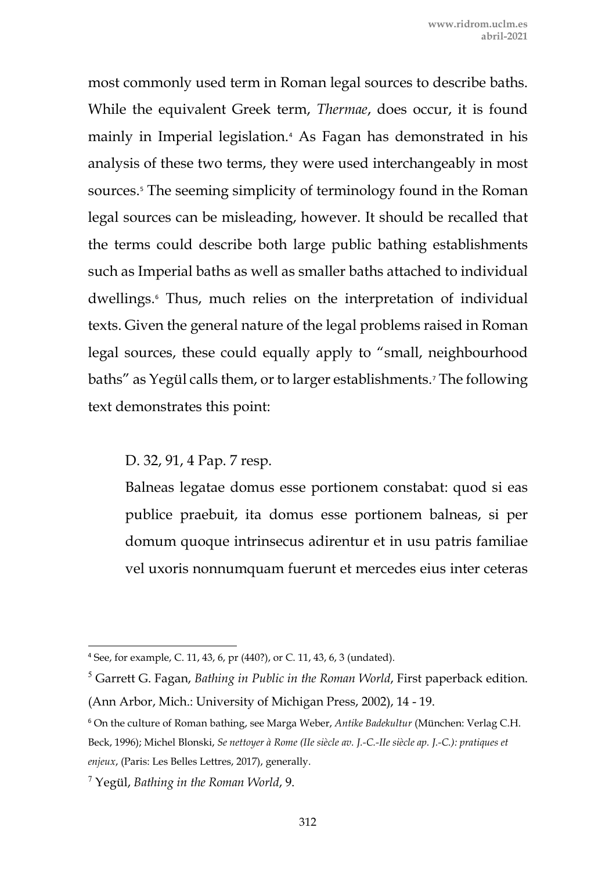most commonly used term in Roman legal sources to describe baths. While the equivalent Greek term, *Thermae*, does occur, it is found mainly in Imperial legislation.[4](#page-4-0) As Fagan has demonstrated in his analysis of these two terms, they were used interchangeably in most sources.<sup>[5](#page-4-1)</sup> The seeming simplicity of terminology found in the Roman legal sources can be misleading, however. It should be recalled that the terms could describe both large public bathing establishments such as Imperial baths as well as smaller baths attached to individual dwellings.[6](#page-4-2) Thus, much relies on the interpretation of individual texts. Given the general nature of the legal problems raised in Roman legal sources, these could equally apply to "small, neighbourhood baths" as Yegül calls them, or to larger establishments.[7](#page-4-3) The following text demonstrates this point:

D. 32, 91, 4 Pap. 7 resp.

Balneas legatae domus esse portionem constabat: quod si eas publice praebuit, ita domus esse portionem balneas, si per domum quoque intrinsecus adirentur et in usu patris familiae vel uxoris nonnumquam fuerunt et mercedes eius inter ceteras

<span id="page-4-0"></span><sup>4</sup> See, for example, C. 11, 43, 6, pr (440?), or C. 11, 43, 6, 3 (undated).

<span id="page-4-1"></span><sup>5</sup> Garrett G. Fagan, *Bathing in Public in the Roman World*, First paperback edition. (Ann Arbor, Mich.: University of Michigan Press, 2002), 14 - 19.

<span id="page-4-2"></span><sup>6</sup> On the culture of Roman bathing, see Marga Weber, *Antike Badekultur* (München: Verlag C.H. Beck, 1996); Michel Blonski, *Se nettoyer à Rome (IIe siècle av. J.-C.-IIe siècle ap. J.-C.): pratiques et enjeux*, (Paris: Les Belles Lettres, 2017), generally.

<span id="page-4-3"></span><sup>7</sup> Yegül, *Bathing in the Roman World*, 9.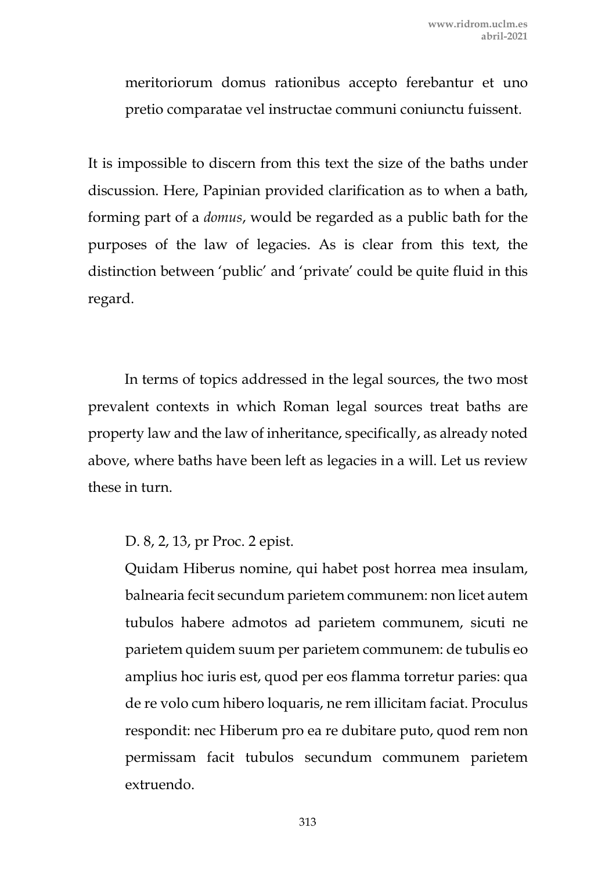meritoriorum domus rationibus accepto ferebantur et uno pretio comparatae vel instructae communi coniunctu fuissent.

It is impossible to discern from this text the size of the baths under discussion. Here, Papinian provided clarification as to when a bath, forming part of a *domus*, would be regarded as a public bath for the purposes of the law of legacies. As is clear from this text, the distinction between 'public' and 'private' could be quite fluid in this regard.

In terms of topics addressed in the legal sources, the two most prevalent contexts in which Roman legal sources treat baths are property law and the law of inheritance, specifically, as already noted above, where baths have been left as legacies in a will. Let us review these in turn.

D. 8, 2, 13, pr Proc. 2 epist.

Quidam Hiberus nomine, qui habet post horrea mea insulam, balnearia fecit secundum parietem communem: non licet autem tubulos habere admotos ad parietem communem, sicuti ne parietem quidem suum per parietem communem: de tubulis eo amplius hoc iuris est, quod per eos flamma torretur paries: qua de re volo cum hibero loquaris, ne rem illicitam faciat. Proculus respondit: nec Hiberum pro ea re dubitare puto, quod rem non permissam facit tubulos secundum communem parietem extruendo.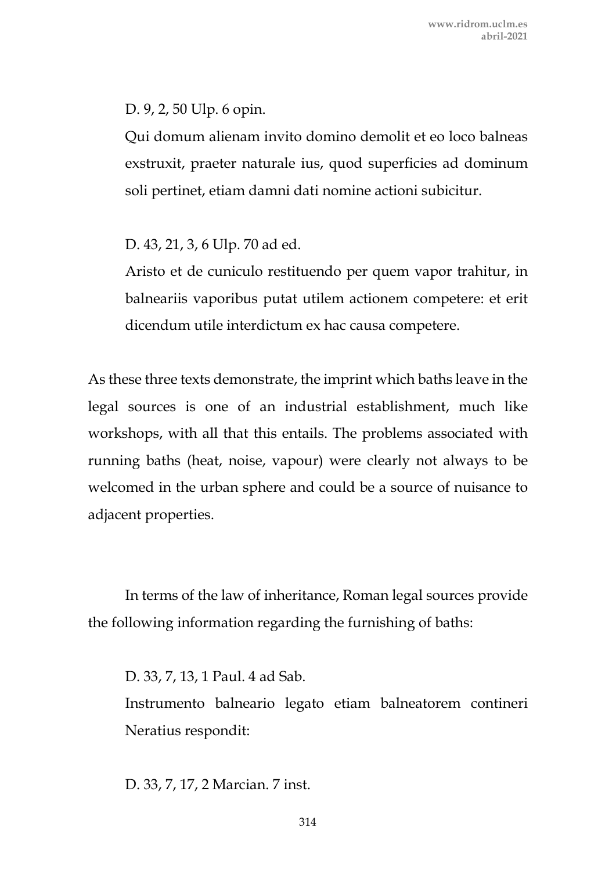D. 9, 2, 50 Ulp. 6 opin.

Qui domum alienam invito domino demolit et eo loco balneas exstruxit, praeter naturale ius, quod superficies ad dominum soli pertinet, etiam damni dati nomine actioni subicitur.

D. 43, 21, 3, 6 Ulp. 70 ad ed.

Aristo et de cuniculo restituendo per quem vapor trahitur, in balneariis vaporibus putat utilem actionem competere: et erit dicendum utile interdictum ex hac causa competere.

As these three texts demonstrate, the imprint which baths leave in the legal sources is one of an industrial establishment, much like workshops, with all that this entails. The problems associated with running baths (heat, noise, vapour) were clearly not always to be welcomed in the urban sphere and could be a source of nuisance to adjacent properties.

In terms of the law of inheritance, Roman legal sources provide the following information regarding the furnishing of baths:

D. 33, 7, 13, 1 Paul. 4 ad Sab. Instrumento balneario legato etiam balneatorem contineri Neratius respondit:

D. 33, 7, 17, 2 Marcian. 7 inst.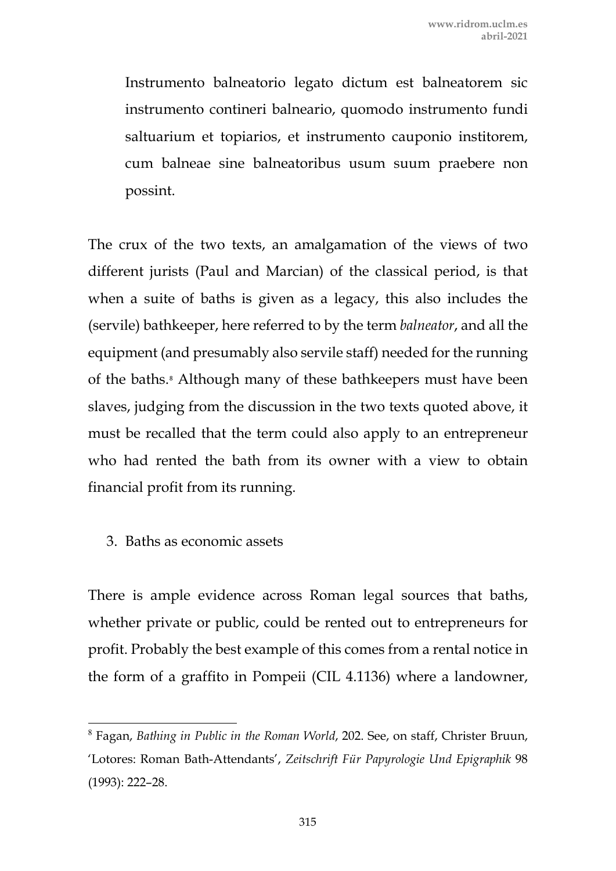Instrumento balneatorio legato dictum est balneatorem sic instrumento contineri balneario, quomodo instrumento fundi saltuarium et topiarios, et instrumento cauponio institorem, cum balneae sine balneatoribus usum suum praebere non possint.

The crux of the two texts, an amalgamation of the views of two different jurists (Paul and Marcian) of the classical period, is that when a suite of baths is given as a legacy, this also includes the (servile) bathkeeper, here referred to by the term *balneator*, and all the equipment (and presumably also servile staff) needed for the running of the baths.<sup>[8](#page-7-0)</sup> Although many of these bathkeepers must have been slaves, judging from the discussion in the two texts quoted above, it must be recalled that the term could also apply to an entrepreneur who had rented the bath from its owner with a view to obtain financial profit from its running.

3. Baths as economic assets

There is ample evidence across Roman legal sources that baths, whether private or public, could be rented out to entrepreneurs for profit. Probably the best example of this comes from a rental notice in the form of a graffito in Pompeii (CIL 4.1136) where a landowner,

<span id="page-7-0"></span><sup>8</sup> Fagan, *Bathing in Public in the Roman World*, 202. See, on staff, Christer Bruun, 'Lotores: Roman Bath-Attendants', *Zeitschrift Für Papyrologie Und Epigraphik* 98 (1993): 222–28.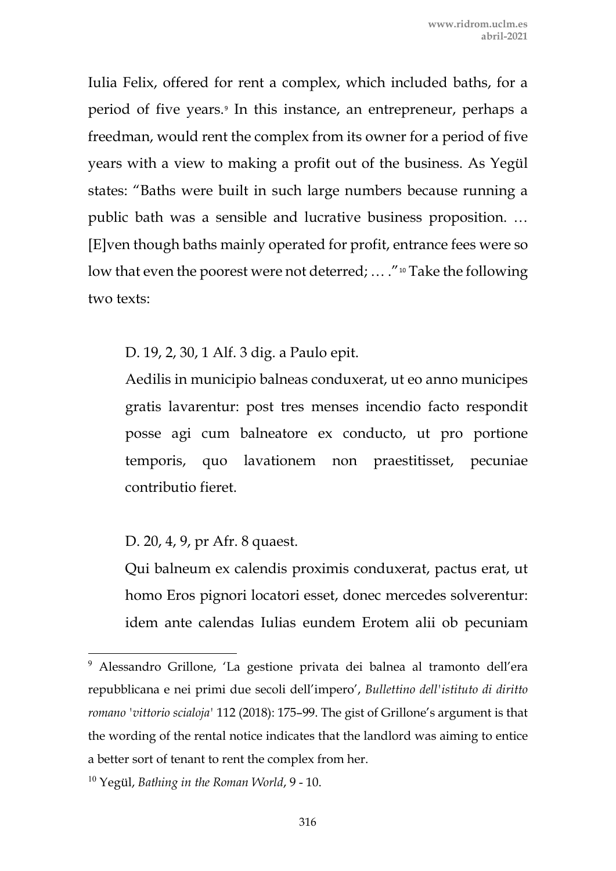Iulia Felix, offered for rent a complex, which included baths, for a period of five years.[9](#page-8-0) In this instance, an entrepreneur, perhaps a freedman, would rent the complex from its owner for a period of five years with a view to making a profit out of the business. As Yegül states: "Baths were built in such large numbers because running a public bath was a sensible and lucrative business proposition. … [E]ven though baths mainly operated for profit, entrance fees were so low that even the poorest were not deterred; ... ."<sup>[10](#page-8-1)</sup> Take the following two texts:

D. 19, 2, 30, 1 Alf. 3 dig. a Paulo epit.

Aedilis in municipio balneas conduxerat, ut eo anno municipes gratis lavarentur: post tres menses incendio facto respondit posse agi cum balneatore ex conducto, ut pro portione temporis, quo lavationem non praestitisset, pecuniae contributio fieret.

D. 20, 4, 9, pr Afr. 8 quaest.

Qui balneum ex calendis proximis conduxerat, pactus erat, ut homo Eros pignori locatori esset, donec mercedes solverentur: idem ante calendas Iulias eundem Erotem alii ob pecuniam

<span id="page-8-0"></span><sup>9</sup> Alessandro Grillone, 'La gestione privata dei balnea al tramonto dell'era repubblicana e nei primi due secoli dell'impero', *Bullettino dell'istituto di diritto romano 'vittorio scialoja'* 112 (2018): 175–99. The gist of Grillone's argument is that the wording of the rental notice indicates that the landlord was aiming to entice a better sort of tenant to rent the complex from her.

<span id="page-8-1"></span><sup>10</sup> Yegül, *Bathing in the Roman World*, 9 - 10.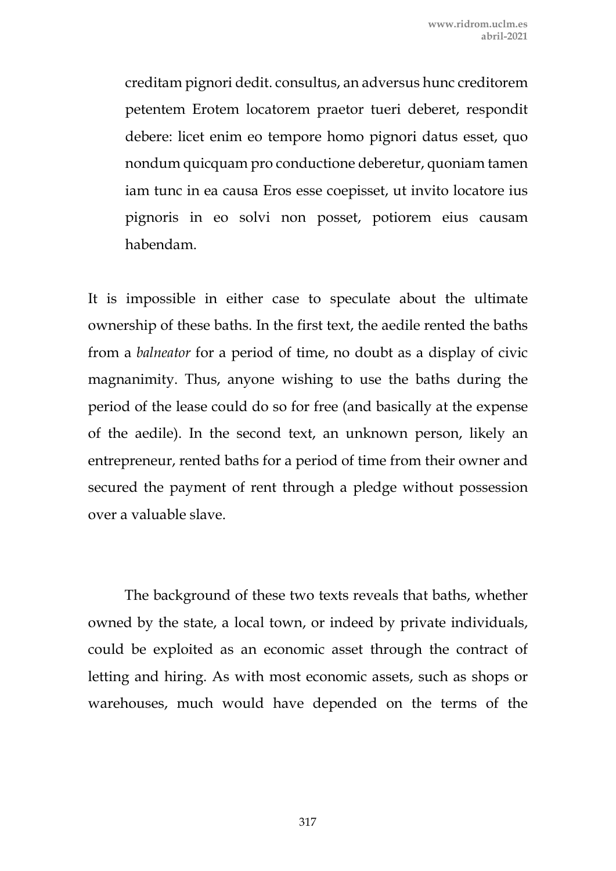creditam pignori dedit. consultus, an adversus hunc creditorem petentem Erotem locatorem praetor tueri deberet, respondit debere: licet enim eo tempore homo pignori datus esset, quo nondum quicquam pro conductione deberetur, quoniam tamen iam tunc in ea causa Eros esse coepisset, ut invito locatore ius pignoris in eo solvi non posset, potiorem eius causam habendam.

It is impossible in either case to speculate about the ultimate ownership of these baths. In the first text, the aedile rented the baths from a *balneator* for a period of time, no doubt as a display of civic magnanimity. Thus, anyone wishing to use the baths during the period of the lease could do so for free (and basically at the expense of the aedile). In the second text, an unknown person, likely an entrepreneur, rented baths for a period of time from their owner and secured the payment of rent through a pledge without possession over a valuable slave.

The background of these two texts reveals that baths, whether owned by the state, a local town, or indeed by private individuals, could be exploited as an economic asset through the contract of letting and hiring. As with most economic assets, such as shops or warehouses, much would have depended on the terms of the

317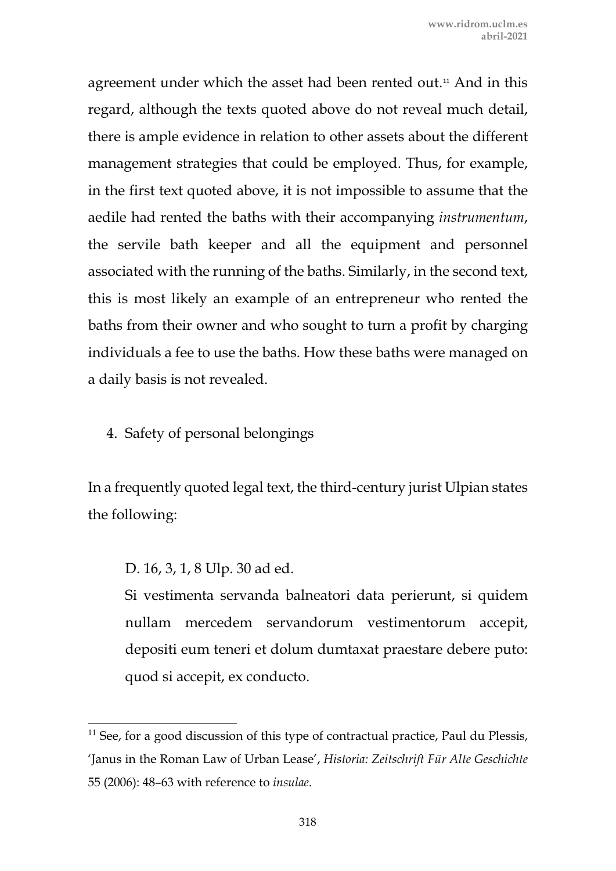agreement under which the asset had been rented out.<sup>[11](#page-10-0)</sup> And in this regard, although the texts quoted above do not reveal much detail, there is ample evidence in relation to other assets about the different management strategies that could be employed. Thus, for example, in the first text quoted above, it is not impossible to assume that the aedile had rented the baths with their accompanying *instrumentum*, the servile bath keeper and all the equipment and personnel associated with the running of the baths. Similarly, in the second text, this is most likely an example of an entrepreneur who rented the baths from their owner and who sought to turn a profit by charging individuals a fee to use the baths. How these baths were managed on a daily basis is not revealed.

4. Safety of personal belongings

In a frequently quoted legal text, the third-century jurist Ulpian states the following:

D. 16, 3, 1, 8 Ulp. 30 ad ed.

Si vestimenta servanda balneatori data perierunt, si quidem nullam mercedem servandorum vestimentorum accepit, depositi eum teneri et dolum dumtaxat praestare debere puto: quod si accepit, ex conducto.

<span id="page-10-0"></span> $11$  See, for a good discussion of this type of contractual practice, Paul du Plessis, 'Janus in the Roman Law of Urban Lease', *Historia: Zeitschrift Für Alte Geschichte* 55 (2006): 48–63 with reference to *insulae*.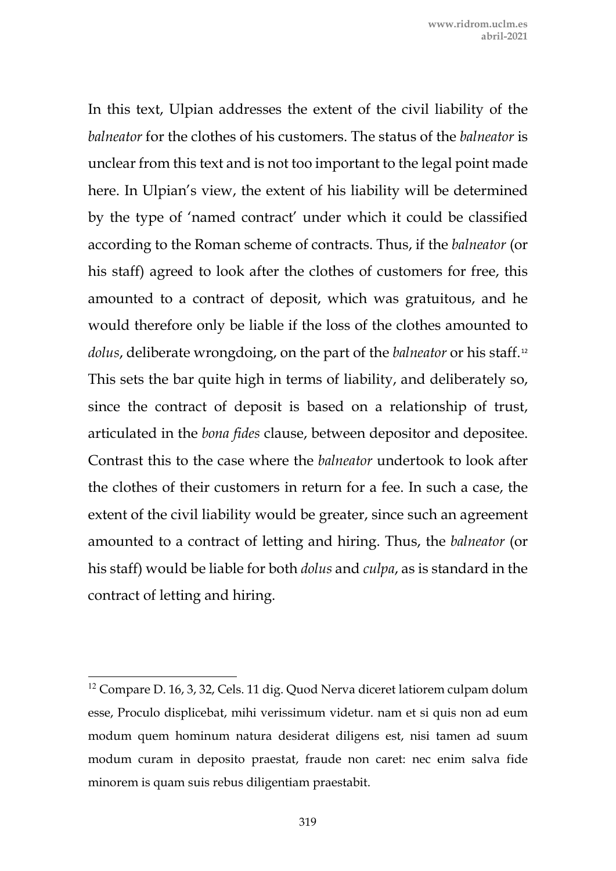In this text, Ulpian addresses the extent of the civil liability of the *balneator* for the clothes of his customers. The status of the *balneator* is unclear from this text and is not too important to the legal point made here. In Ulpian's view, the extent of his liability will be determined by the type of 'named contract' under which it could be classified according to the Roman scheme of contracts. Thus, if the *balneator* (or his staff) agreed to look after the clothes of customers for free, this amounted to a contract of deposit, which was gratuitous, and he would therefore only be liable if the loss of the clothes amounted to *dolus*, deliberate wrongdoing, on the part of the *balneator* or his staff.[12](#page-11-0) This sets the bar quite high in terms of liability, and deliberately so, since the contract of deposit is based on a relationship of trust, articulated in the *bona fides* clause, between depositor and depositee. Contrast this to the case where the *balneator* undertook to look after the clothes of their customers in return for a fee. In such a case, the extent of the civil liability would be greater, since such an agreement amounted to a contract of letting and hiring. Thus, the *balneator* (or his staff) would be liable for both *dolus* and *culpa*, as is standard in the contract of letting and hiring.

<span id="page-11-0"></span><sup>&</sup>lt;sup>12</sup> Compare D. 16, 3, 32, Cels. 11 dig. Quod Nerva diceret latiorem culpam dolum esse, Proculo displicebat, mihi verissimum videtur. nam et si quis non ad eum modum quem hominum natura desiderat diligens est, nisi tamen ad suum modum curam in deposito praestat, fraude non caret: nec enim salva fide minorem is quam suis rebus diligentiam praestabit.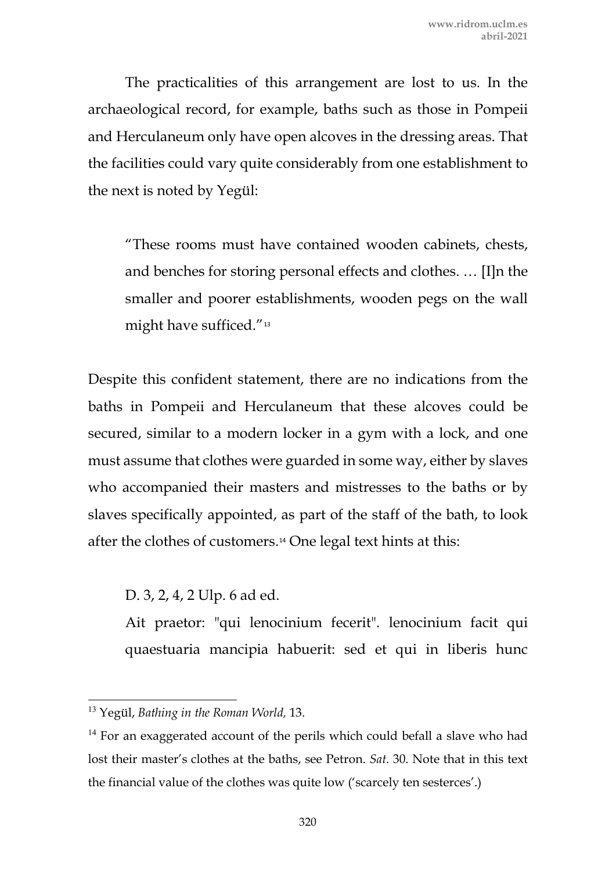The practicalities of this arrangement are lost to us. In the archaeological record, for example, baths such as those in Pompeii and Herculaneum only have open alcoves in the dressing areas. That the facilities could vary quite considerably from one establishment to the next is noted by Yegül:

"These rooms must have contained wooden cabinets, chests, and benches for storing personal effects and clothes. … [I]n the smaller and poorer establishments, wooden pegs on the wall might have sufficed."<sup>[13](#page-12-0)</sup>

Despite this confident statement, there are no indications from the baths in Pompeii and Herculaneum that these alcoves could be secured, similar to a modern locker in a gym with a lock, and one must assume that clothes were guarded in some way, either by slaves who accompanied their masters and mistresses to the baths or by slaves specifically appointed, as part of the staff of the bath, to look after the clothes of customers.[14](#page-12-1) One legal text hints at this:

D. 3, 2, 4, 2 Ulp. 6 ad ed.

Ait praetor: "qui lenocinium fecerit". lenocinium facit qui quaestuaria mancipia habuerit: sed et qui in liberis hunc

<span id="page-12-0"></span><sup>13</sup> Yegül, *Bathing in the Roman World,* 13.

<span id="page-12-1"></span> $14$  For an exaggerated account of the perils which could befall a slave who had lost their master's clothes at the baths, see Petron. *Sat*. 30. Note that in this text the financial value of the clothes was quite low ('scarcely ten sesterces'.)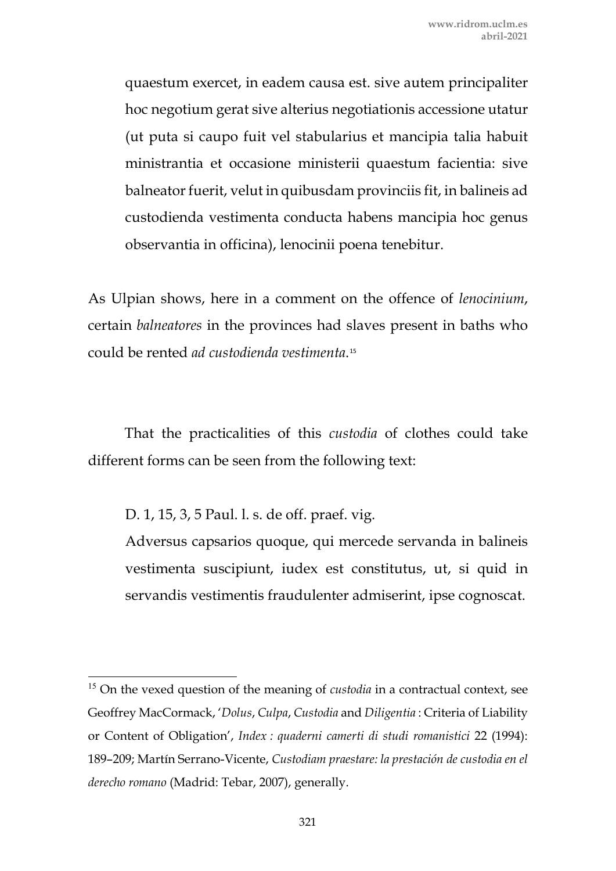quaestum exercet, in eadem causa est. sive autem principaliter hoc negotium gerat sive alterius negotiationis accessione utatur (ut puta si caupo fuit vel stabularius et mancipia talia habuit ministrantia et occasione ministerii quaestum facientia: sive balneator fuerit, velut in quibusdam provinciis fit, in balineis ad custodienda vestimenta conducta habens mancipia hoc genus observantia in officina), lenocinii poena tenebitur.

As Ulpian shows, here in a comment on the offence of *lenocinium*, certain *balneatores* in the provinces had slaves present in baths who could be rented *ad custodienda vestimenta*.[15](#page-13-0)

That the practicalities of this *custodia* of clothes could take different forms can be seen from the following text:

D. 1, 15, 3, 5 Paul. l. s. de off. praef. vig.

Adversus capsarios quoque, qui mercede servanda in balineis vestimenta suscipiunt, iudex est constitutus, ut, si quid in servandis vestimentis fraudulenter admiserint, ipse cognoscat.

<span id="page-13-0"></span><sup>&</sup>lt;sup>15</sup> On the vexed question of the meaning of *custodia* in a contractual context, see Geoffrey MacCormack, '*Dolus*, *Culpa*, *Custodia* and *Diligentia* : Criteria of Liability or Content of Obligation', *Index : quaderni camerti di studi romanistici* 22 (1994): 189–209; Martín Serrano-Vicente, *Custodiam praestare: la prestación de custodia en el derecho romano* (Madrid: Tebar, 2007), generally.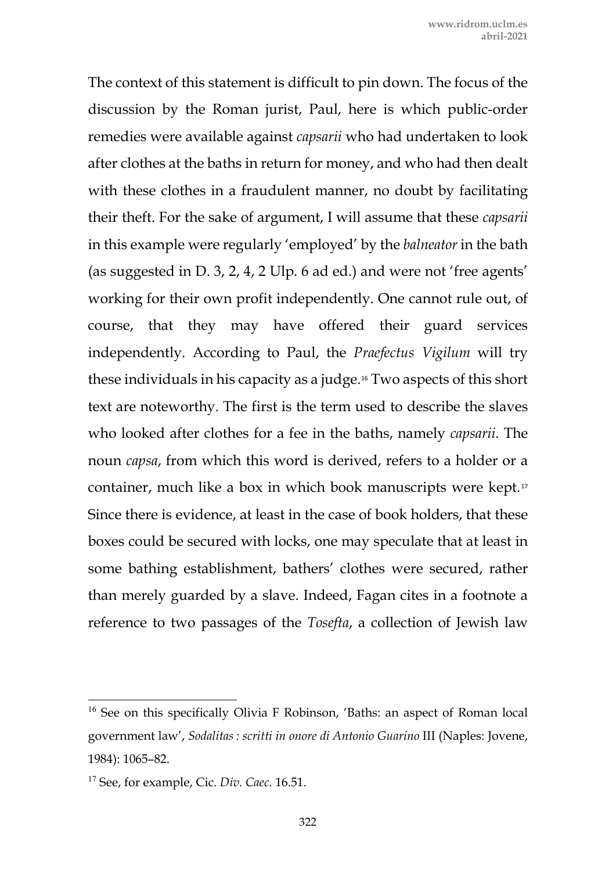The context of this statement is difficult to pin down. The focus of the discussion by the Roman jurist, Paul, here is which public-order remedies were available against *capsarii* who had undertaken to look after clothes at the baths in return for money, and who had then dealt with these clothes in a fraudulent manner, no doubt by facilitating their theft. For the sake of argument, I will assume that these *capsarii* in this example were regularly 'employed' by the *balneator* in the bath (as suggested in D. 3, 2, 4, 2 Ulp. 6 ad ed.) and were not 'free agents' working for their own profit independently. One cannot rule out, of course, that they may have offered their guard services independently. According to Paul, the *Praefectus Vigilum* will try these individuals in his capacity as a judge.[16](#page-14-0) Two aspects of this short text are noteworthy. The first is the term used to describe the slaves who looked after clothes for a fee in the baths, namely *capsarii*. The noun *capsa*, from which this word is derived, refers to a holder or a container, much like a box in which book manuscripts were kept.[17](#page-14-1) Since there is evidence, at least in the case of book holders, that these boxes could be secured with locks, one may speculate that at least in some bathing establishment, bathers' clothes were secured, rather than merely guarded by a slave. Indeed, Fagan cites in a footnote a reference to two passages of the *Tosefta*, a collection of Jewish law

<span id="page-14-0"></span><sup>&</sup>lt;sup>16</sup> See on this specifically Olivia F Robinson, 'Baths: an aspect of Roman local government law', *Sodalitas : scritti in onore di Antonio Guarino* III (Naples: Jovene, 1984): 1065–82.

<span id="page-14-1"></span><sup>17</sup> See, for example, Cic. *Div. Caec.* 16.51.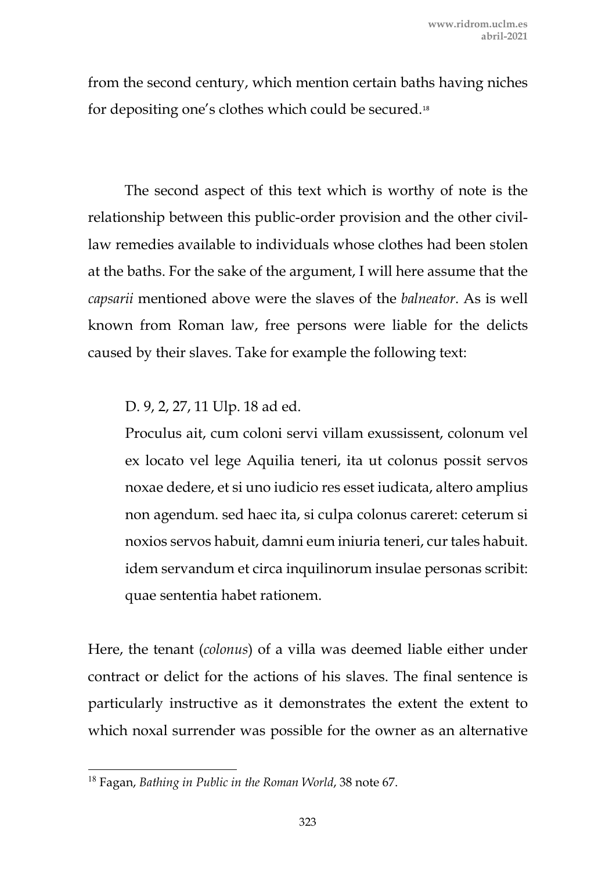from the second century, which mention certain baths having niches for depositing one's clothes which could be secured.[18](#page-15-0)

The second aspect of this text which is worthy of note is the relationship between this public-order provision and the other civillaw remedies available to individuals whose clothes had been stolen at the baths. For the sake of the argument, I will here assume that the *capsarii* mentioned above were the slaves of the *balneator*. As is well known from Roman law, free persons were liable for the delicts caused by their slaves. Take for example the following text:

## D. 9, 2, 27, 11 Ulp. 18 ad ed.

Proculus ait, cum coloni servi villam exussissent, colonum vel ex locato vel lege Aquilia teneri, ita ut colonus possit servos noxae dedere, et si uno iudicio res esset iudicata, altero amplius non agendum. sed haec ita, si culpa colonus careret: ceterum si noxios servos habuit, damni eum iniuria teneri, cur tales habuit. idem servandum et circa inquilinorum insulae personas scribit: quae sententia habet rationem.

Here, the tenant (*colonus*) of a villa was deemed liable either under contract or delict for the actions of his slaves. The final sentence is particularly instructive as it demonstrates the extent the extent to which noxal surrender was possible for the owner as an alternative

<span id="page-15-0"></span><sup>18</sup> Fagan, *Bathing in Public in the Roman World*, 38 note 67.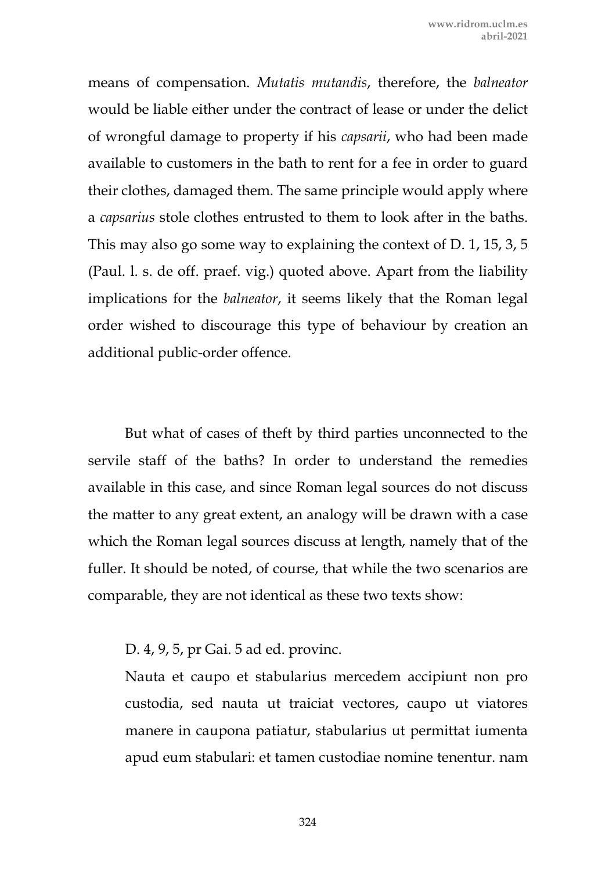means of compensation. *Mutatis mutandis*, therefore, the *balneator* would be liable either under the contract of lease or under the delict of wrongful damage to property if his *capsarii*, who had been made available to customers in the bath to rent for a fee in order to guard their clothes, damaged them. The same principle would apply where a *capsarius* stole clothes entrusted to them to look after in the baths. This may also go some way to explaining the context of D. 1, 15, 3, 5 (Paul. l. s. de off. praef. vig.) quoted above. Apart from the liability implications for the *balneator*, it seems likely that the Roman legal order wished to discourage this type of behaviour by creation an additional public-order offence.

But what of cases of theft by third parties unconnected to the servile staff of the baths? In order to understand the remedies available in this case, and since Roman legal sources do not discuss the matter to any great extent, an analogy will be drawn with a case which the Roman legal sources discuss at length, namely that of the fuller. It should be noted, of course, that while the two scenarios are comparable, they are not identical as these two texts show:

D. 4, 9, 5, pr Gai. 5 ad ed. provinc.

Nauta et caupo et stabularius mercedem accipiunt non pro custodia, sed nauta ut traiciat vectores, caupo ut viatores manere in caupona patiatur, stabularius ut permittat iumenta apud eum stabulari: et tamen custodiae nomine tenentur. nam

324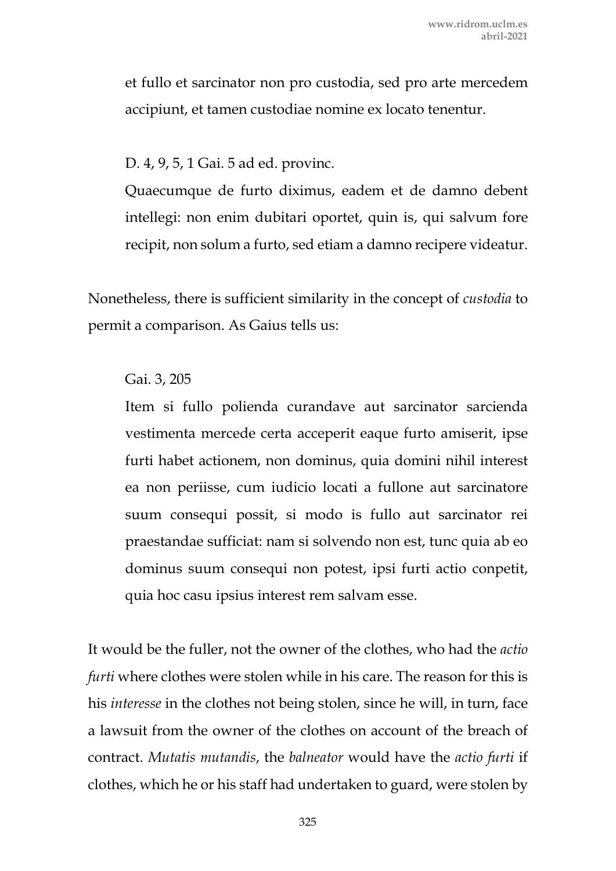et fullo et sarcinator non pro custodia, sed pro arte mercedem accipiunt, et tamen custodiae nomine ex locato tenentur.

D. 4, 9, 5, 1 Gai. 5 ad ed. provinc.

Quaecumque de furto diximus, eadem et de damno debent intellegi: non enim dubitari oportet, quin is, qui salvum fore recipit, non solum a furto, sed etiam a damno recipere videatur.

Nonetheless, there is sufficient similarity in the concept of *custodia* to permit a comparison. As Gaius tells us:

### Gai. 3, 205

Item si fullo polienda curandave aut sarcinator sarcienda vestimenta mercede certa acceperit eaque furto amiserit, ipse furti habet actionem, non dominus, quia domini nihil interest ea non periisse, cum iudicio locati a fullone aut sarcinatore suum consequi possit, si modo is fullo aut sarcinator rei praestandae sufficiat: nam si solvendo non est, tunc quia ab eo dominus suum consequi non potest, ipsi furti actio conpetit, quia hoc casu ipsius interest rem salvam esse.

It would be the fuller, not the owner of the clothes, who had the *actio furti* where clothes were stolen while in his care. The reason for this is his *interesse* in the clothes not being stolen, since he will, in turn, face a lawsuit from the owner of the clothes on account of the breach of contract. *Mutatis mutandis*, the *balneator* would have the *actio furti* if clothes, which he or his staff had undertaken to guard, were stolen by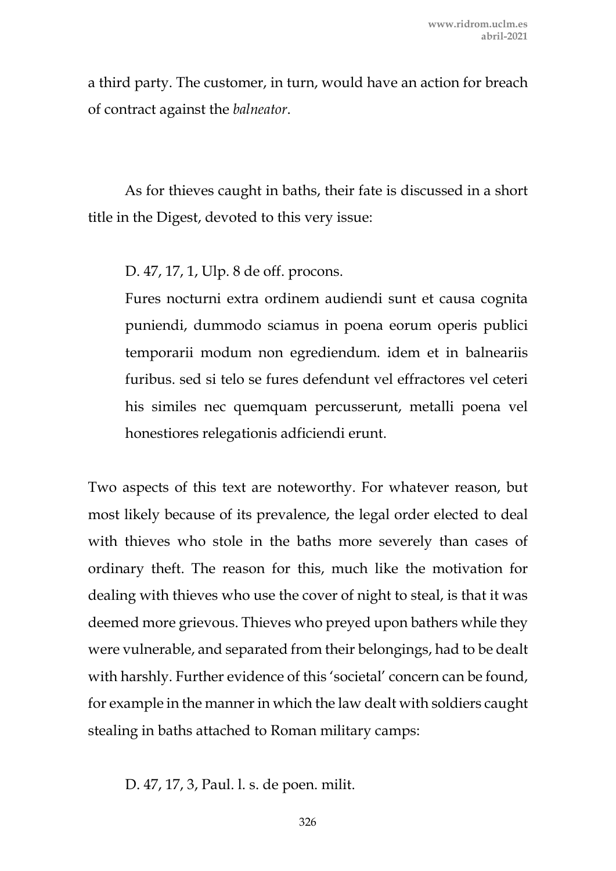a third party. The customer, in turn, would have an action for breach of contract against the *balneator*.

As for thieves caught in baths, their fate is discussed in a short title in the Digest, devoted to this very issue:

D. 47, 17, 1, Ulp. 8 de off. procons.

Fures nocturni extra ordinem audiendi sunt et causa cognita puniendi, dummodo sciamus in poena eorum operis publici temporarii modum non egrediendum. idem et in balneariis furibus. sed si telo se fures defendunt vel effractores vel ceteri his similes nec quemquam percusserunt, metalli poena vel honestiores relegationis adficiendi erunt.

Two aspects of this text are noteworthy. For whatever reason, but most likely because of its prevalence, the legal order elected to deal with thieves who stole in the baths more severely than cases of ordinary theft. The reason for this, much like the motivation for dealing with thieves who use the cover of night to steal, is that it was deemed more grievous. Thieves who preyed upon bathers while they were vulnerable, and separated from their belongings, had to be dealt with harshly. Further evidence of this 'societal' concern can be found, for example in the manner in which the law dealt with soldiers caught stealing in baths attached to Roman military camps:

D. 47, 17, 3, Paul. l. s. de poen. milit.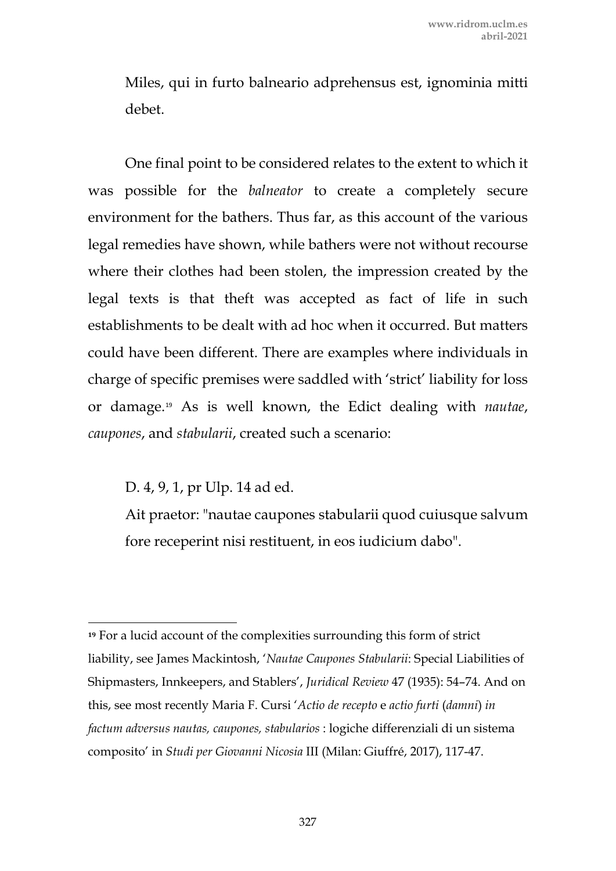Miles, qui in furto balneario adprehensus est, ignominia mitti debet.

One final point to be considered relates to the extent to which it was possible for the *balneator* to create a completely secure environment for the bathers. Thus far, as this account of the various legal remedies have shown, while bathers were not without recourse where their clothes had been stolen, the impression created by the legal texts is that theft was accepted as fact of life in such establishments to be dealt with ad hoc when it occurred. But matters could have been different. There are examples where individuals in charge of specific premises were saddled with 'strict' liability for loss or damage.[19](#page-19-0) As is well known, the Edict dealing with *nautae*, *caupones*, and *stabularii*, created such a scenario:

D. 4, 9, 1, pr Ulp. 14 ad ed.

Ait praetor: "nautae caupones stabularii quod cuiusque salvum fore receperint nisi restituent, in eos iudicium dabo".

<span id="page-19-0"></span>**<sup>19</sup>** For a lucid account of the complexities surrounding this form of strict liability, see James Mackintosh, '*Nautae Caupones Stabularii*: Special Liabilities of Shipmasters, Innkeepers, and Stablers', *Juridical Review* 47 (1935): 54–74. And on this, see most recently Maria F. Cursi '*Actio de recepto* e *actio furti* (*damni*) *in factum adversus nautas, caupones, stabularios* : logiche differenziali di un sistema composito' in *Studi per Giovanni Nicosia* III (Milan: Giuffré, 2017), 117-47.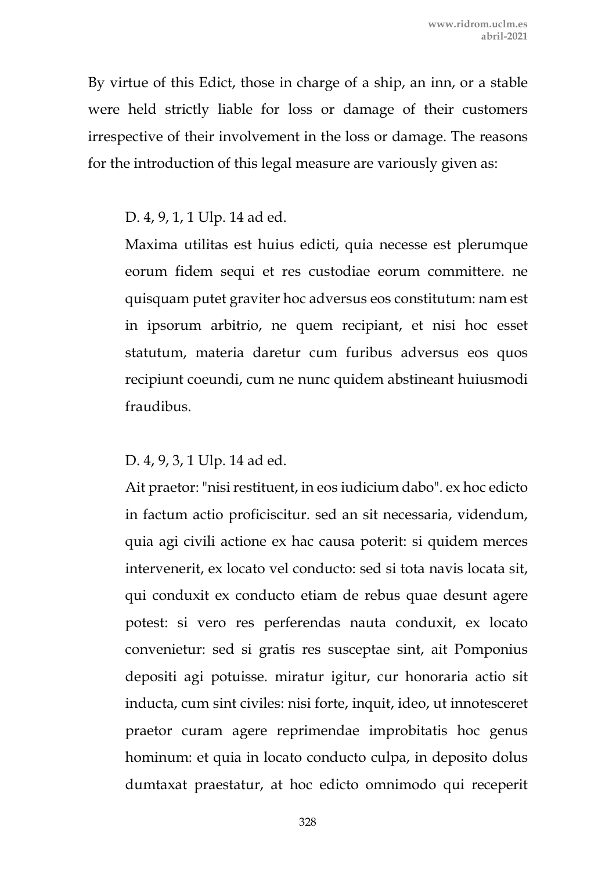By virtue of this Edict, those in charge of a ship, an inn, or a stable were held strictly liable for loss or damage of their customers irrespective of their involvement in the loss or damage. The reasons for the introduction of this legal measure are variously given as:

## D. 4, 9, 1, 1 Ulp. 14 ad ed.

Maxima utilitas est huius edicti, quia necesse est plerumque eorum fidem sequi et res custodiae eorum committere. ne quisquam putet graviter hoc adversus eos constitutum: nam est in ipsorum arbitrio, ne quem recipiant, et nisi hoc esset statutum, materia daretur cum furibus adversus eos quos recipiunt coeundi, cum ne nunc quidem abstineant huiusmodi fraudibus.

# D. 4, 9, 3, 1 Ulp. 14 ad ed.

Ait praetor: "nisi restituent, in eos iudicium dabo". ex hoc edicto in factum actio proficiscitur. sed an sit necessaria, videndum, quia agi civili actione ex hac causa poterit: si quidem merces intervenerit, ex locato vel conducto: sed si tota navis locata sit, qui conduxit ex conducto etiam de rebus quae desunt agere potest: si vero res perferendas nauta conduxit, ex locato convenietur: sed si gratis res susceptae sint, ait Pomponius depositi agi potuisse. miratur igitur, cur honoraria actio sit inducta, cum sint civiles: nisi forte, inquit, ideo, ut innotesceret praetor curam agere reprimendae improbitatis hoc genus hominum: et quia in locato conducto culpa, in deposito dolus dumtaxat praestatur, at hoc edicto omnimodo qui receperit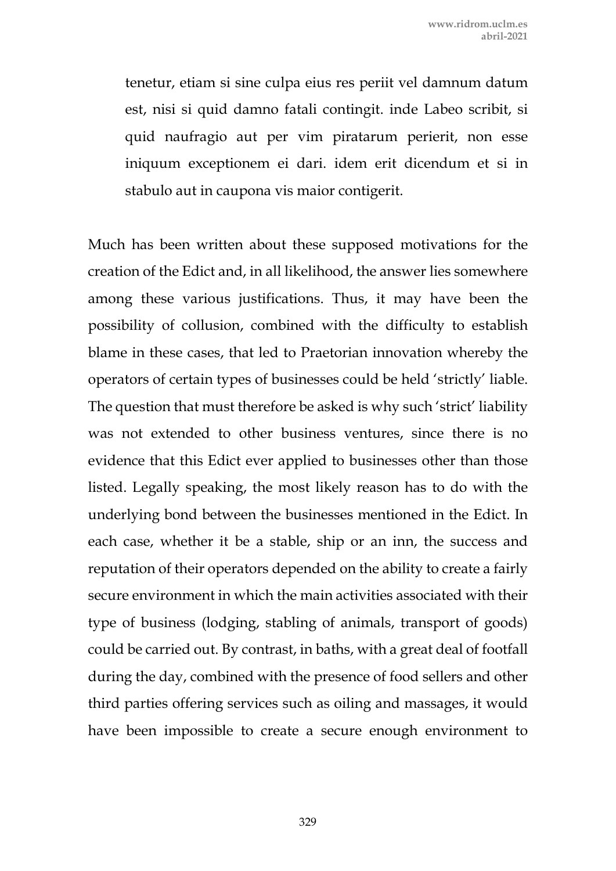tenetur, etiam si sine culpa eius res periit vel damnum datum est, nisi si quid damno fatali contingit. inde Labeo scribit, si quid naufragio aut per vim piratarum perierit, non esse iniquum exceptionem ei dari. idem erit dicendum et si in stabulo aut in caupona vis maior contigerit.

Much has been written about these supposed motivations for the creation of the Edict and, in all likelihood, the answer lies somewhere among these various justifications. Thus, it may have been the possibility of collusion, combined with the difficulty to establish blame in these cases, that led to Praetorian innovation whereby the operators of certain types of businesses could be held 'strictly' liable. The question that must therefore be asked is why such 'strict' liability was not extended to other business ventures, since there is no evidence that this Edict ever applied to businesses other than those listed. Legally speaking, the most likely reason has to do with the underlying bond between the businesses mentioned in the Edict. In each case, whether it be a stable, ship or an inn, the success and reputation of their operators depended on the ability to create a fairly secure environment in which the main activities associated with their type of business (lodging, stabling of animals, transport of goods) could be carried out. By contrast, in baths, with a great deal of footfall during the day, combined with the presence of food sellers and other third parties offering services such as oiling and massages, it would have been impossible to create a secure enough environment to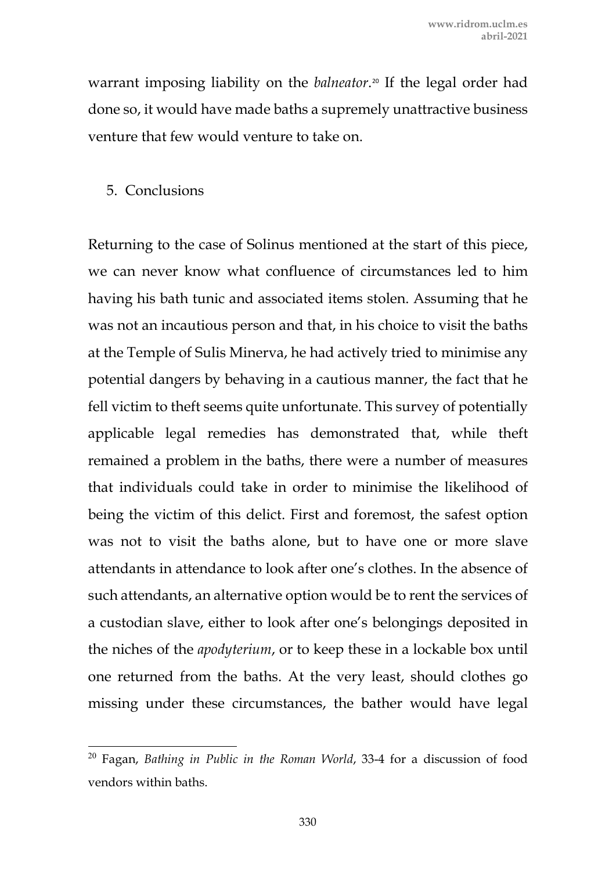warrant imposing liability on the *balneator*.[20](#page-22-0) If the legal order had done so, it would have made baths a supremely unattractive business venture that few would venture to take on.

#### 5. Conclusions

Returning to the case of Solinus mentioned at the start of this piece, we can never know what confluence of circumstances led to him having his bath tunic and associated items stolen. Assuming that he was not an incautious person and that, in his choice to visit the baths at the Temple of Sulis Minerva, he had actively tried to minimise any potential dangers by behaving in a cautious manner, the fact that he fell victim to theft seems quite unfortunate. This survey of potentially applicable legal remedies has demonstrated that, while theft remained a problem in the baths, there were a number of measures that individuals could take in order to minimise the likelihood of being the victim of this delict. First and foremost, the safest option was not to visit the baths alone, but to have one or more slave attendants in attendance to look after one's clothes. In the absence of such attendants, an alternative option would be to rent the services of a custodian slave, either to look after one's belongings deposited in the niches of the *apodyterium*, or to keep these in a lockable box until one returned from the baths. At the very least, should clothes go missing under these circumstances, the bather would have legal

<span id="page-22-0"></span><sup>20</sup> Fagan, *Bathing in Public in the Roman World*, 33-4 for a discussion of food vendors within baths.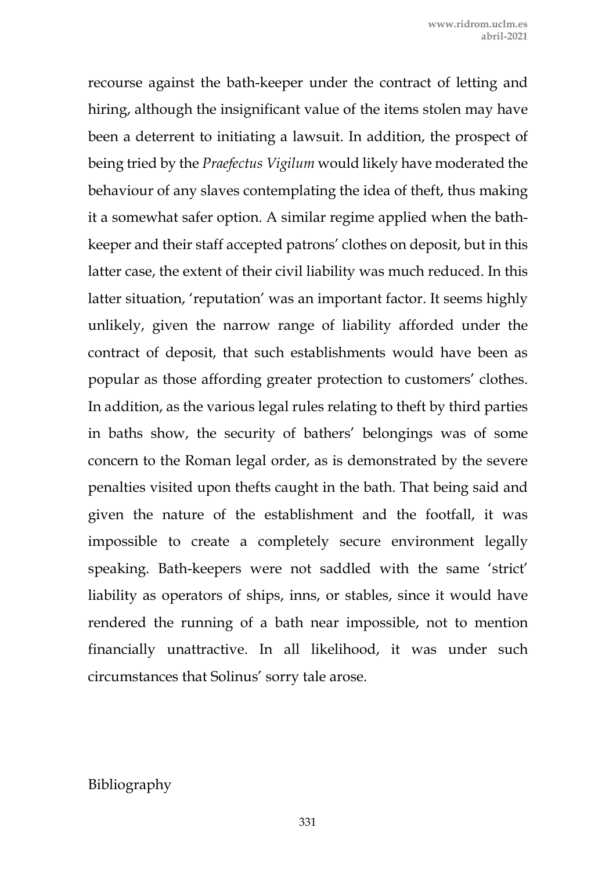recourse against the bath-keeper under the contract of letting and hiring, although the insignificant value of the items stolen may have been a deterrent to initiating a lawsuit. In addition, the prospect of being tried by the *Praefectus Vigilum* would likely have moderated the behaviour of any slaves contemplating the idea of theft, thus making it a somewhat safer option. A similar regime applied when the bathkeeper and their staff accepted patrons' clothes on deposit, but in this latter case, the extent of their civil liability was much reduced. In this latter situation, 'reputation' was an important factor. It seems highly unlikely, given the narrow range of liability afforded under the contract of deposit, that such establishments would have been as popular as those affording greater protection to customers' clothes. In addition, as the various legal rules relating to theft by third parties in baths show, the security of bathers' belongings was of some concern to the Roman legal order, as is demonstrated by the severe penalties visited upon thefts caught in the bath. That being said and given the nature of the establishment and the footfall, it was impossible to create a completely secure environment legally speaking. Bath-keepers were not saddled with the same 'strict' liability as operators of ships, inns, or stables, since it would have rendered the running of a bath near impossible, not to mention financially unattractive. In all likelihood, it was under such circumstances that Solinus' sorry tale arose.

#### Bibliography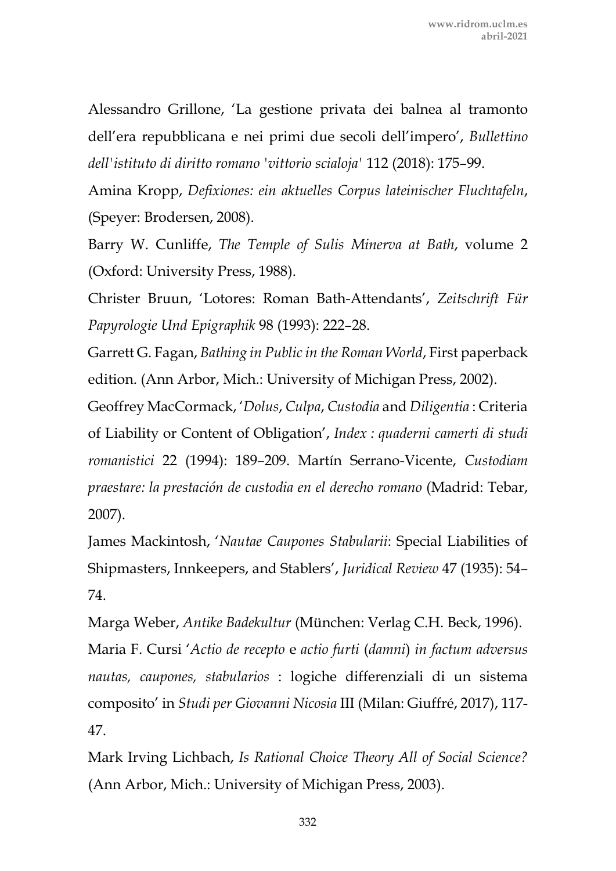Alessandro Grillone, 'La gestione privata dei balnea al tramonto dell'era repubblicana e nei primi due secoli dell'impero', *Bullettino dell'istituto di diritto romano 'vittorio scialoja'* 112 (2018): 175–99.

Amina Kropp, *Defixiones: ein aktuelles Corpus lateinischer Fluchtafeln*, (Speyer: Brodersen, 2008).

Barry W. Cunliffe, *The Temple of Sulis Minerva at Bath*, volume 2 (Oxford: University Press, 1988).

Christer Bruun, 'Lotores: Roman Bath-Attendants', *Zeitschrift Für Papyrologie Und Epigraphik* 98 (1993): 222–28.

Garrett G. Fagan, *Bathing in Public in the Roman World*, First paperback edition. (Ann Arbor, Mich.: University of Michigan Press, 2002).

Geoffrey MacCormack, '*Dolus*, *Culpa*, *Custodia* and *Diligentia* : Criteria of Liability or Content of Obligation', *Index : quaderni camerti di studi romanistici* 22 (1994): 189–209. Martín Serrano-Vicente, *Custodiam praestare: la prestación de custodia en el derecho romano* (Madrid: Tebar, 2007).

James Mackintosh, '*Nautae Caupones Stabularii*: Special Liabilities of Shipmasters, Innkeepers, and Stablers', *Juridical Review* 47 (1935): 54– 74.

Marga Weber, *Antike Badekultur* (München: Verlag C.H. Beck, 1996). Maria F. Cursi '*Actio de recepto* e *actio furti* (*damni*) *in factum adversus nautas, caupones, stabularios* : logiche differenziali di un sistema composito' in *Studi per Giovanni Nicosia* III (Milan: Giuffré, 2017), 117- 47.

Mark Irving Lichbach, *Is Rational Choice Theory All of Social Science?*  (Ann Arbor, Mich.: University of Michigan Press, 2003).